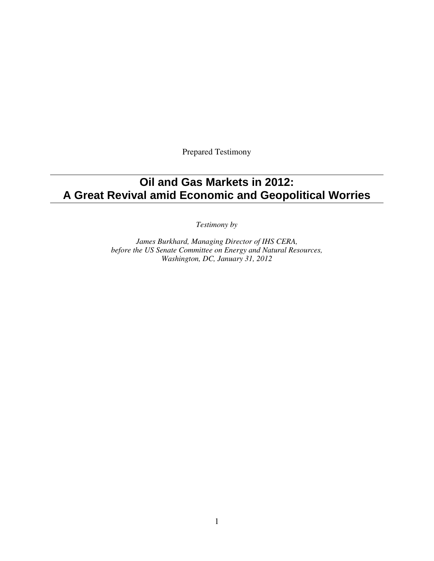Prepared Testimony

# **Oil and Gas Markets in 2012: A Great Revival amid Economic and Geopolitical Worries**

*Testimony by* 

*James Burkhard, Managing Director of IHS CERA, before the US Senate Committee on Energy and Natural Resources, Washington, DC, January 31, 2012*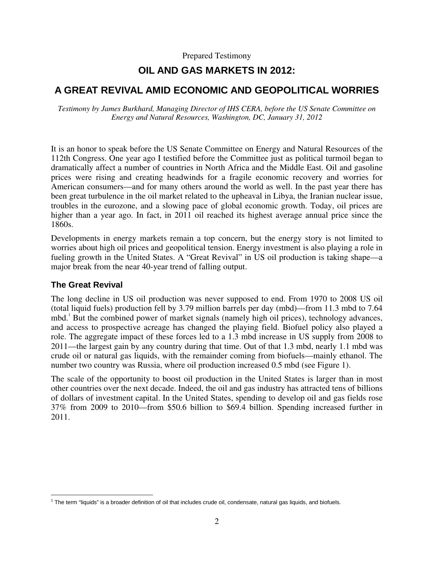Prepared Testimony

## **OIL AND GAS MARKETS IN 2012:**

## **A GREAT REVIVAL AMID ECONOMIC AND GEOPOLITICAL WORRIES**

*Testimony by James Burkhard, Managing Director of IHS CERA, before the US Senate Committee on Energy and Natural Resources, Washington, DC, January 31, 2012* 

It is an honor to speak before the US Senate Committee on Energy and Natural Resources of the 112th Congress. One year ago I testified before the Committee just as political turmoil began to dramatically affect a number of countries in North Africa and the Middle East. Oil and gasoline prices were rising and creating headwinds for a fragile economic recovery and worries for American consumers—and for many others around the world as well. In the past year there has been great turbulence in the oil market related to the upheaval in Libya, the Iranian nuclear issue, troubles in the eurozone, and a slowing pace of global economic growth. Today, oil prices are higher than a year ago. In fact, in 2011 oil reached its highest average annual price since the 1860s.

Developments in energy markets remain a top concern, but the energy story is not limited to worries about high oil prices and geopolitical tension. Energy investment is also playing a role in fueling growth in the United States. A "Great Revival" in US oil production is taking shape—a major break from the near 40-year trend of falling output.

#### **The Great Revival**

The long decline in US oil production was never supposed to end. From 1970 to 2008 US oil (total liquid fuels) production fell by 3.79 million barrels per day (mbd)—from 11.3 mbd to 7.64 mbd.<sup>1</sup> But the combined power of market signals (namely high oil prices), technology advances, and access to prospective acreage has changed the playing field. Biofuel policy also played a role. The aggregate impact of these forces led to a 1.3 mbd increase in US supply from 2008 to 2011—the largest gain by any country during that time. Out of that 1.3 mbd, nearly 1.1 mbd was crude oil or natural gas liquids, with the remainder coming from biofuels—mainly ethanol. The number two country was Russia, where oil production increased 0.5 mbd (see Figure 1).

The scale of the opportunity to boost oil production in the United States is larger than in most other countries over the next decade. Indeed, the oil and gas industry has attracted tens of billions of dollars of investment capital. In the United States, spending to develop oil and gas fields rose 37% from 2009 to 2010—from \$50.6 billion to \$69.4 billion. Spending increased further in 2011.

 1 The term "liquids" is a broader definition of oil that includes crude oil, condensate, natural gas liquids, and biofuels.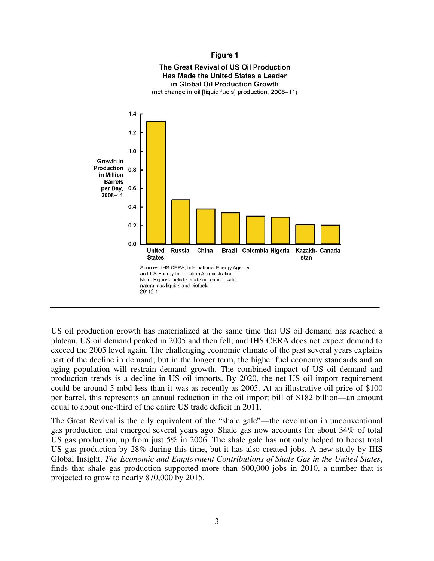#### Figure 1



US oil production growth has materialized at the same time that US oil demand has reached a plateau. US oil demand peaked in 2005 and then fell; and IHS CERA does not expect demand to exceed the 2005 level again. The challenging economic climate of the past several years explains part of the decline in demand; but in the longer term, the higher fuel economy standards and an aging population will restrain demand growth. The combined impact of US oil demand and production trends is a decline in US oil imports. By 2020, the net US oil import requirement could be around 5 mbd less than it was as recently as 2005. At an illustrative oil price of \$100 per barrel, this represents an annual reduction in the oil import bill of \$182 billion—an amount equal to about one-third of the entire US trade deficit in 2011.

The Great Revival is the oily equivalent of the "shale gale"—the revolution in unconventional gas production that emerged several years ago. Shale gas now accounts for about 34% of total US gas production, up from just 5% in 2006. The shale gale has not only helped to boost total US gas production by 28% during this time, but it has also created jobs. A new study by IHS Global Insight, *The Economic and Employment Contributions of Shale Gas in the United States*, finds that shale gas production supported more than 600,000 jobs in 2010, a number that is projected to grow to nearly 870,000 by 2015.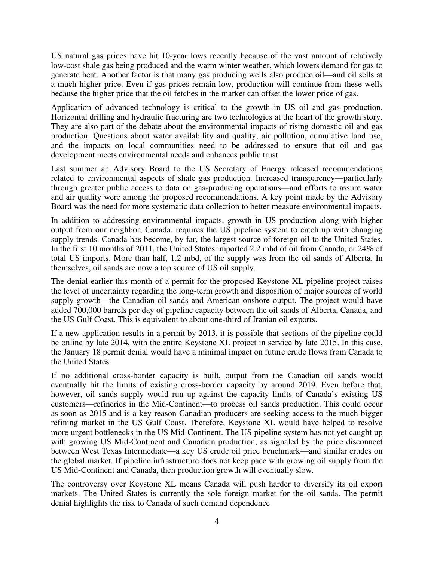US natural gas prices have hit 10-year lows recently because of the vast amount of relatively low-cost shale gas being produced and the warm winter weather, which lowers demand for gas to generate heat. Another factor is that many gas producing wells also produce oil—and oil sells at a much higher price. Even if gas prices remain low, production will continue from these wells because the higher price that the oil fetches in the market can offset the lower price of gas.

Application of advanced technology is critical to the growth in US oil and gas production. Horizontal drilling and hydraulic fracturing are two technologies at the heart of the growth story. They are also part of the debate about the environmental impacts of rising domestic oil and gas production. Questions about water availability and quality, air pollution, cumulative land use, and the impacts on local communities need to be addressed to ensure that oil and gas development meets environmental needs and enhances public trust.

Last summer an Advisory Board to the US Secretary of Energy released recommendations related to environmental aspects of shale gas production. Increased transparency—particularly through greater public access to data on gas-producing operations—and efforts to assure water and air quality were among the proposed recommendations. A key point made by the Advisory Board was the need for more systematic data collection to better measure environmental impacts.

In addition to addressing environmental impacts, growth in US production along with higher output from our neighbor, Canada, requires the US pipeline system to catch up with changing supply trends. Canada has become, by far, the largest source of foreign oil to the United States. In the first 10 months of 2011, the United States imported 2.2 mbd of oil from Canada, or 24% of total US imports. More than half, 1.2 mbd, of the supply was from the oil sands of Alberta. In themselves, oil sands are now a top source of US oil supply.

The denial earlier this month of a permit for the proposed Keystone XL pipeline project raises the level of uncertainty regarding the long-term growth and disposition of major sources of world supply growth—the Canadian oil sands and American onshore output. The project would have added 700,000 barrels per day of pipeline capacity between the oil sands of Alberta, Canada, and the US Gulf Coast. This is equivalent to about one-third of Iranian oil exports.

If a new application results in a permit by 2013, it is possible that sections of the pipeline could be online by late 2014, with the entire Keystone XL project in service by late 2015. In this case, the January 18 permit denial would have a minimal impact on future crude flows from Canada to the United States.

If no additional cross-border capacity is built, output from the Canadian oil sands would eventually hit the limits of existing cross-border capacity by around 2019. Even before that, however, oil sands supply would run up against the capacity limits of Canada's existing US customers—refineries in the Mid-Continent—to process oil sands production. This could occur as soon as 2015 and is a key reason Canadian producers are seeking access to the much bigger refining market in the US Gulf Coast. Therefore, Keystone XL would have helped to resolve more urgent bottlenecks in the US Mid-Continent. The US pipeline system has not yet caught up with growing US Mid-Continent and Canadian production, as signaled by the price disconnect between West Texas Intermediate—a key US crude oil price benchmark—and similar crudes on the global market. If pipeline infrastructure does not keep pace with growing oil supply from the US Mid-Continent and Canada, then production growth will eventually slow.

The controversy over Keystone XL means Canada will push harder to diversify its oil export markets. The United States is currently the sole foreign market for the oil sands. The permit denial highlights the risk to Canada of such demand dependence.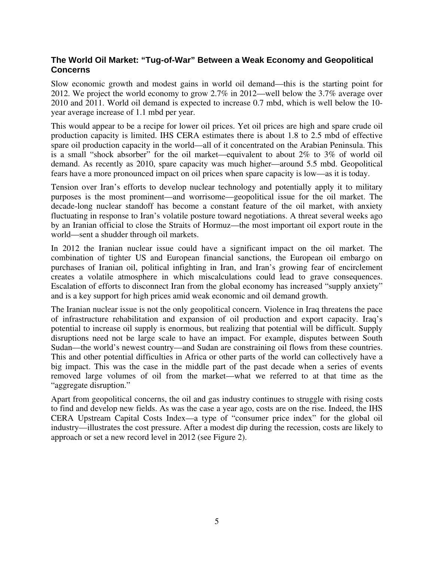### **The World Oil Market: "Tug-of-War" Between a Weak Economy and Geopolitical Concerns**

Slow economic growth and modest gains in world oil demand—this is the starting point for 2012. We project the world economy to grow 2.7% in 2012—well below the 3.7% average over 2010 and 2011. World oil demand is expected to increase 0.7 mbd, which is well below the 10 year average increase of 1.1 mbd per year.

This would appear to be a recipe for lower oil prices. Yet oil prices are high and spare crude oil production capacity is limited. IHS CERA estimates there is about 1.8 to 2.5 mbd of effective spare oil production capacity in the world—all of it concentrated on the Arabian Peninsula. This is a small "shock absorber" for the oil market—equivalent to about 2% to 3% of world oil demand. As recently as 2010, spare capacity was much higher—around 5.5 mbd. Geopolitical fears have a more pronounced impact on oil prices when spare capacity is low—as it is today.

Tension over Iran's efforts to develop nuclear technology and potentially apply it to military purposes is the most prominent—and worrisome—geopolitical issue for the oil market. The decade-long nuclear standoff has become a constant feature of the oil market, with anxiety fluctuating in response to Iran's volatile posture toward negotiations. A threat several weeks ago by an Iranian official to close the Straits of Hormuz—the most important oil export route in the world—sent a shudder through oil markets.

In 2012 the Iranian nuclear issue could have a significant impact on the oil market. The combination of tighter US and European financial sanctions, the European oil embargo on purchases of Iranian oil, political infighting in Iran, and Iran's growing fear of encirclement creates a volatile atmosphere in which miscalculations could lead to grave consequences. Escalation of efforts to disconnect Iran from the global economy has increased "supply anxiety" and is a key support for high prices amid weak economic and oil demand growth.

The Iranian nuclear issue is not the only geopolitical concern. Violence in Iraq threatens the pace of infrastructure rehabilitation and expansion of oil production and export capacity. Iraq's potential to increase oil supply is enormous, but realizing that potential will be difficult. Supply disruptions need not be large scale to have an impact. For example, disputes between South Sudan—the world's newest country—and Sudan are constraining oil flows from these countries. This and other potential difficulties in Africa or other parts of the world can collectively have a big impact. This was the case in the middle part of the past decade when a series of events removed large volumes of oil from the market—what we referred to at that time as the "aggregate disruption."

Apart from geopolitical concerns, the oil and gas industry continues to struggle with rising costs to find and develop new fields. As was the case a year ago, costs are on the rise. Indeed, the IHS CERA Upstream Capital Costs Index—a type of "consumer price index" for the global oil industry—illustrates the cost pressure. After a modest dip during the recession, costs are likely to approach or set a new record level in 2012 (see Figure 2).